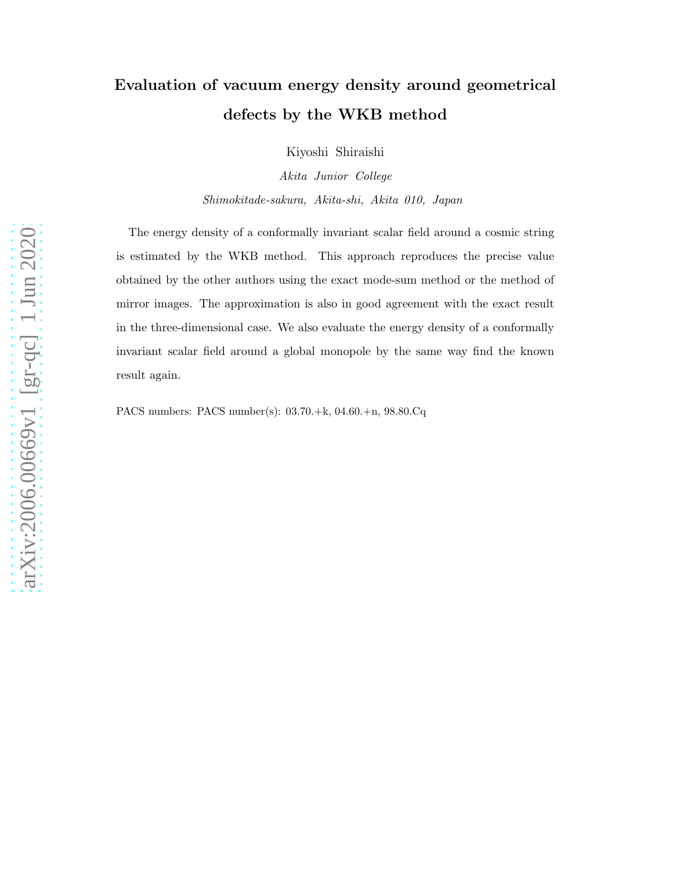# Evaluation of vacuum energy density around geometrical defects by the WKB method

Kiyoshi Shiraishi

Akita Junior College Shimokitade-sakura, Akita-shi, Akita 010, Japan

The energy density of a conformally invariant scalar field around a cosmic string is estimated by the WKB method. This approach reproduces the precise value obtained by the other authors using the exact mode-sum method or the method of mirror images. The approximation is also in good agreement with the exact result in the three-dimensional case. We also evaluate the energy density of a conformally invariant scalar field around a global monopole by the same way find the known result again.

PACS numbers: PACS number(s): 03.70.+k, 04.60.+n, 98.80.Cq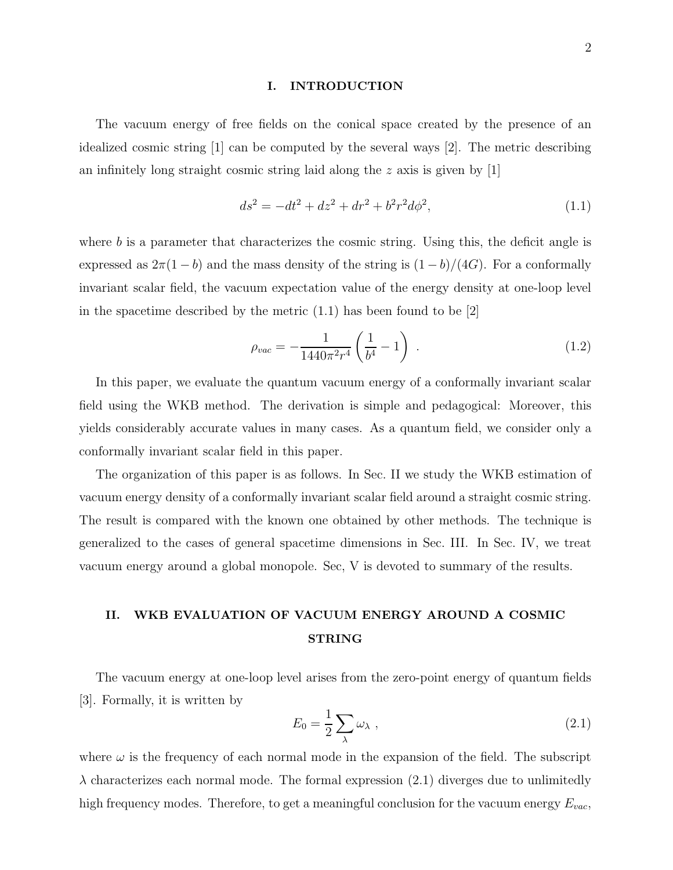#### I. INTRODUCTION

The vacuum energy of free fields on the conical space created by the presence of an idealized cosmic string [1] can be computed by the several ways [2]. The metric describing an infinitely long straight cosmic string laid along the z axis is given by  $|1|$ 

$$
ds^{2} = -dt^{2} + dz^{2} + dr^{2} + b^{2}r^{2}d\phi^{2},
$$
\n(1.1)

where b is a parameter that characterizes the cosmic string. Using this, the deficit angle is expressed as  $2\pi(1-b)$  and the mass density of the string is  $(1-b)/(4G)$ . For a conformally invariant scalar field, the vacuum expectation value of the energy density at one-loop level in the spacetime described by the metric (1.1) has been found to be [2]

$$
\rho_{vac} = -\frac{1}{1440\pi^2 r^4} \left(\frac{1}{b^4} - 1\right) \tag{1.2}
$$

In this paper, we evaluate the quantum vacuum energy of a conformally invariant scalar field using the WKB method. The derivation is simple and pedagogical: Moreover, this yields considerably accurate values in many cases. As a quantum field, we consider only a conformally invariant scalar field in this paper.

The organization of this paper is as follows. In Sec. II we study the WKB estimation of vacuum energy density of a conformally invariant scalar field around a straight cosmic string. The result is compared with the known one obtained by other methods. The technique is generalized to the cases of general spacetime dimensions in Sec. III. In Sec. IV, we treat vacuum energy around a global monopole. Sec, V is devoted to summary of the results.

### II. WKB EVALUATION OF VACUUM ENERGY AROUND A COSMIC STRING

The vacuum energy at one-loop level arises from the zero-point energy of quantum fields [3]. Formally, it is written by

$$
E_0 = \frac{1}{2} \sum_{\lambda} \omega_{\lambda} \tag{2.1}
$$

where  $\omega$  is the frequency of each normal mode in the expansion of the field. The subscript  $\lambda$  characterizes each normal mode. The formal expression (2.1) diverges due to unlimitedly high frequency modes. Therefore, to get a meaningful conclusion for the vacuum energy  $E_{vac}$ ,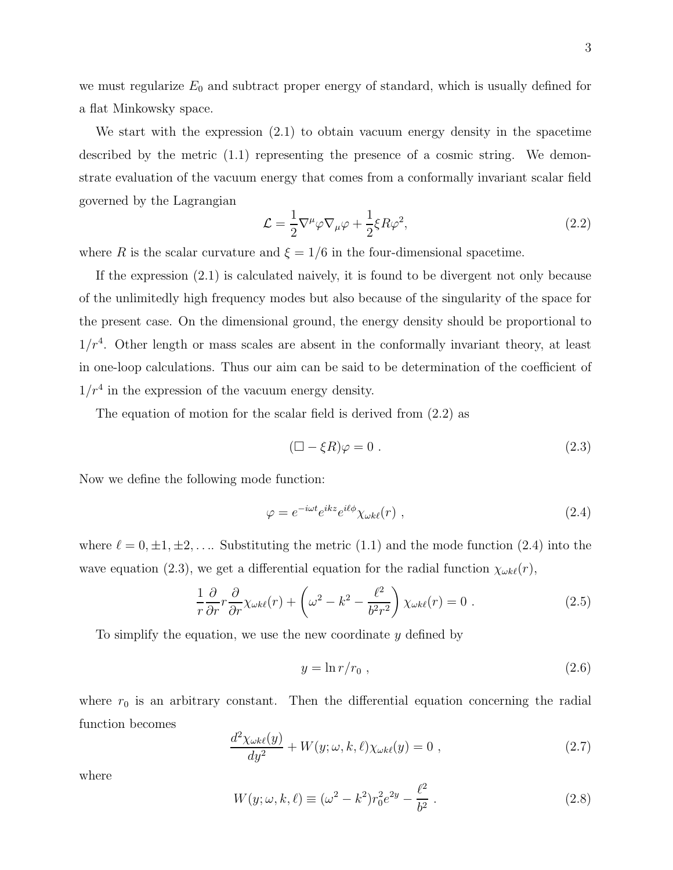we must regularize  $E_0$  and subtract proper energy of standard, which is usually defined for a flat Minkowsky space.

We start with the expression  $(2.1)$  to obtain vacuum energy density in the spacetime described by the metric (1.1) representing the presence of a cosmic string. We demonstrate evaluation of the vacuum energy that comes from a conformally invariant scalar field governed by the Lagrangian

$$
\mathcal{L} = \frac{1}{2} \nabla^{\mu} \varphi \nabla_{\mu} \varphi + \frac{1}{2} \xi R \varphi^{2}, \qquad (2.2)
$$

where R is the scalar curvature and  $\xi = 1/6$  in the four-dimensional spacetime.

If the expression (2.1) is calculated naively, it is found to be divergent not only because of the unlimitedly high frequency modes but also because of the singularity of the space for the present case. On the dimensional ground, the energy density should be proportional to  $1/r<sup>4</sup>$ . Other length or mass scales are absent in the conformally invariant theory, at least in one-loop calculations. Thus our aim can be said to be determination of the coefficient of  $1/r<sup>4</sup>$  in the expression of the vacuum energy density.

The equation of motion for the scalar field is derived from (2.2) as

$$
(\Box - \xi R)\varphi = 0. \qquad (2.3)
$$

Now we define the following mode function:

$$
\varphi = e^{-i\omega t} e^{ikz} e^{i\ell \phi} \chi_{\omega k\ell}(r) , \qquad (2.4)
$$

where  $\ell = 0, \pm 1, \pm 2, \ldots$  Substituting the metric (1.1) and the mode function (2.4) into the wave equation (2.3), we get a differential equation for the radial function  $\chi_{\omega k\ell}(r)$ ,

$$
\frac{1}{r}\frac{\partial}{\partial r}r\frac{\partial}{\partial r}\chi_{\omega k\ell}(r) + \left(\omega^2 - k^2 - \frac{\ell^2}{b^2 r^2}\right)\chi_{\omega k\ell}(r) = 0.
$$
\n(2.5)

To simplify the equation, we use the new coordinate  $y$  defined by

$$
y = \ln r/r_0 \tag{2.6}
$$

where  $r_0$  is an arbitrary constant. Then the differential equation concerning the radial function becomes

$$
\frac{d^2\chi_{\omega k\ell}(y)}{dy^2} + W(y; \omega, k, \ell)\chi_{\omega k\ell}(y) = 0 , \qquad (2.7)
$$

where

$$
W(y; \omega, k, \ell) \equiv (\omega^2 - k^2) r_0^2 e^{2y} - \frac{\ell^2}{b^2} .
$$
 (2.8)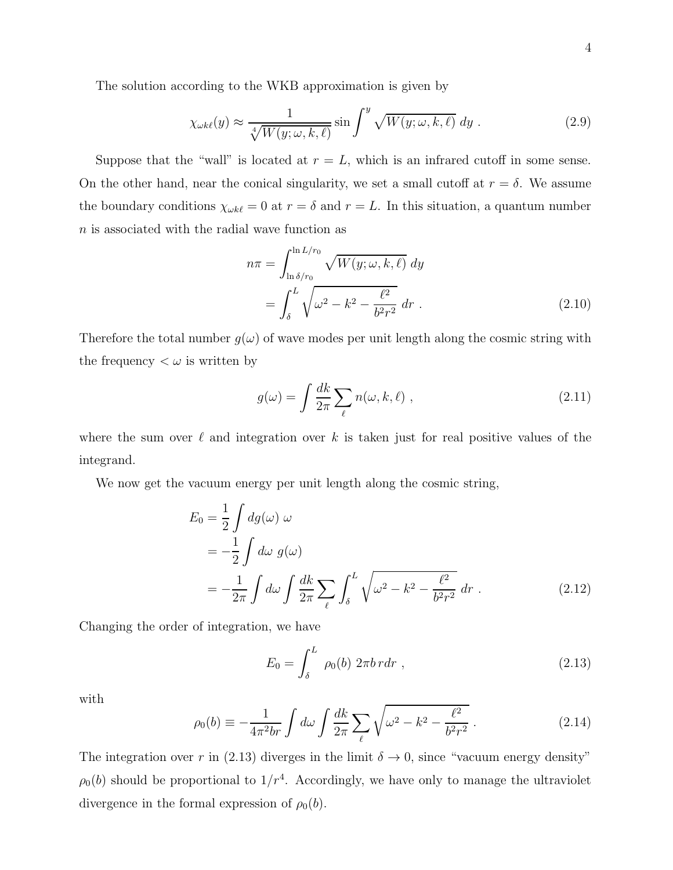The solution according to the WKB approximation is given by

$$
\chi_{\omega k\ell}(y) \approx \frac{1}{\sqrt[4]{W(y;\omega,k,\ell)}} \sin \int^y \sqrt{W(y;\omega,k,\ell)} \, dy \,. \tag{2.9}
$$

Suppose that the "wall" is located at  $r = L$ , which is an infrared cutoff in some sense. On the other hand, near the conical singularity, we set a small cutoff at  $r = \delta$ . We assume the boundary conditions  $\chi_{\omega k\ell} = 0$  at  $r = \delta$  and  $r = L$ . In this situation, a quantum number  $n$  is associated with the radial wave function as

$$
n\pi = \int_{\ln \delta/r_0}^{\ln L/r_0} \sqrt{W(y;\omega,k,\ell)} dy
$$

$$
= \int_{\delta}^{L} \sqrt{\omega^2 - k^2 - \frac{\ell^2}{b^2 r^2}} dr . \qquad (2.10)
$$

Therefore the total number  $g(\omega)$  of wave modes per unit length along the cosmic string with the frequency  $\langle \omega \rangle$  is written by

$$
g(\omega) = \int \frac{dk}{2\pi} \sum_{\ell} n(\omega, k, \ell) , \qquad (2.11)
$$

where the sum over  $\ell$  and integration over k is taken just for real positive values of the integrand.

We now get the vacuum energy per unit length along the cosmic string,

$$
E_0 = \frac{1}{2} \int dg(\omega) \omega
$$
  
=  $-\frac{1}{2} \int d\omega g(\omega)$   
=  $-\frac{1}{2\pi} \int d\omega \int \frac{dk}{2\pi} \sum_{\ell} \int_{\delta}^{L} \sqrt{\omega^2 - k^2 - \frac{\ell^2}{b^2 r^2}} dr$ . (2.12)

Changing the order of integration, we have

$$
E_0 = \int_{\delta}^{L} \rho_0(b) \ 2\pi b \, r dr \ , \qquad (2.13)
$$

with

$$
\rho_0(b) \equiv -\frac{1}{4\pi^2 br} \int d\omega \int \frac{dk}{2\pi} \sum_{\ell} \sqrt{\omega^2 - k^2 - \frac{\ell^2}{b^2 r^2}} \,. \tag{2.14}
$$

The integration over r in (2.13) diverges in the limit  $\delta \to 0$ , since "vacuum energy density"  $\rho_0(b)$  should be proportional to  $1/r^4$ . Accordingly, we have only to manage the ultraviolet divergence in the formal expression of  $\rho_0(b)$ .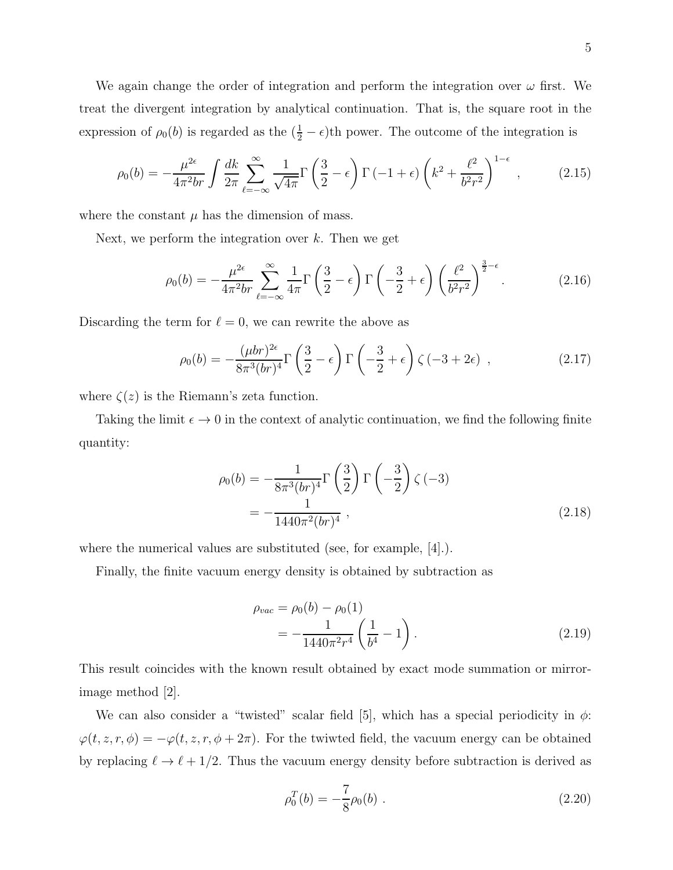We again change the order of integration and perform the integration over  $\omega$  first. We treat the divergent integration by analytical continuation. That is, the square root in the expression of  $\rho_0(b)$  is regarded as the  $(\frac{1}{2} - \epsilon)$ th power. The outcome of the integration is

$$
\rho_0(b) = -\frac{\mu^{2\epsilon}}{4\pi^2 br} \int \frac{dk}{2\pi} \sum_{\ell=-\infty}^{\infty} \frac{1}{\sqrt{4\pi}} \Gamma\left(\frac{3}{2} - \epsilon\right) \Gamma\left(-1 + \epsilon\right) \left(k^2 + \frac{\ell^2}{b^2 r^2}\right)^{1-\epsilon},\tag{2.15}
$$

where the constant  $\mu$  has the dimension of mass.

Next, we perform the integration over  $k$ . Then we get

$$
\rho_0(b) = -\frac{\mu^{2\epsilon}}{4\pi^2 br} \sum_{\ell=-\infty}^{\infty} \frac{1}{4\pi} \Gamma\left(\frac{3}{2} - \epsilon\right) \Gamma\left(-\frac{3}{2} + \epsilon\right) \left(\frac{\ell^2}{b^2 r^2}\right)^{\frac{3}{2} - \epsilon}.
$$
 (2.16)

Discarding the term for  $\ell = 0$ , we can rewrite the above as

$$
\rho_0(b) = -\frac{(\mu br)^{2\epsilon}}{8\pi^3 (br)^4} \Gamma\left(\frac{3}{2} - \epsilon\right) \Gamma\left(-\frac{3}{2} + \epsilon\right) \zeta\left(-3 + 2\epsilon\right) ,\qquad (2.17)
$$

where  $\zeta(z)$  is the Riemann's zeta function.

Taking the limit  $\epsilon \to 0$  in the context of analytic continuation, we find the following finite quantity:

$$
\rho_0(b) = -\frac{1}{8\pi^3 (br)^4} \Gamma\left(\frac{3}{2}\right) \Gamma\left(-\frac{3}{2}\right) \zeta(-3) \n= -\frac{1}{1440\pi^2 (br)^4} ,
$$
\n(2.18)

where the numerical values are substituted (see, for example, [4].).

Finally, the finite vacuum energy density is obtained by subtraction as

$$
\rho_{vac} = \rho_0(b) - \rho_0(1) \n= -\frac{1}{1440\pi^2 r^4} \left(\frac{1}{b^4} - 1\right).
$$
\n(2.19)

This result coincides with the known result obtained by exact mode summation or mirrorimage method [2].

We can also consider a "twisted" scalar field [5], which has a special periodicity in  $\phi$ :  $\varphi(t, z, r, \phi) = -\varphi(t, z, r, \phi + 2\pi)$ . For the twiwted field, the vacuum energy can be obtained by replacing  $\ell \to \ell + 1/2$ . Thus the vacuum energy density before subtraction is derived as

$$
\rho_0^T(b) = -\frac{7}{8}\rho_0(b) \tag{2.20}
$$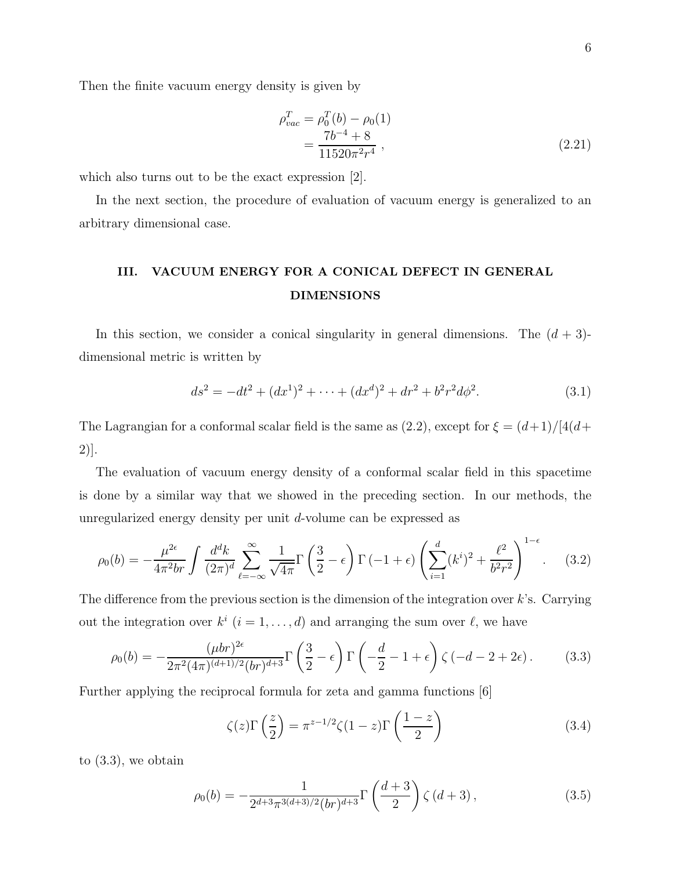Then the finite vacuum energy density is given by

$$
\rho_{vac}^T = \rho_0^T(b) - \rho_0(1) \n= \frac{7b^{-4} + 8}{11520\pi^2 r^4},
$$
\n(2.21)

which also turns out to be the exact expression [2].

In the next section, the procedure of evaluation of vacuum energy is generalized to an arbitrary dimensional case.

## III. VACUUM ENERGY FOR A CONICAL DEFECT IN GENERAL DIMENSIONS

In this section, we consider a conical singularity in general dimensions. The  $(d+3)$ dimensional metric is written by

$$
ds^{2} = -dt^{2} + (dx^{1})^{2} + \dots + (dx^{d})^{2} + dr^{2} + b^{2}r^{2}d\phi^{2}.
$$
 (3.1)

The Lagrangian for a conformal scalar field is the same as  $(2.2)$ , except for  $\xi = (d+1)/[4(d+1)]$ 2)].

The evaluation of vacuum energy density of a conformal scalar field in this spacetime is done by a similar way that we showed in the preceding section. In our methods, the unregularized energy density per unit d-volume can be expressed as

$$
\rho_0(b) = -\frac{\mu^{2\epsilon}}{4\pi^2 br} \int \frac{d^d k}{(2\pi)^d} \sum_{\ell=-\infty}^{\infty} \frac{1}{\sqrt{4\pi}} \Gamma\left(\frac{3}{2} - \epsilon\right) \Gamma\left(-1 + \epsilon\right) \left(\sum_{i=1}^d (k^i)^2 + \frac{\ell^2}{b^2 r^2}\right)^{1-\epsilon} . \tag{3.2}
$$

The difference from the previous section is the dimension of the integration over  $k$ 's. Carrying out the integration over  $k^i$   $(i = 1, \ldots, d)$  and arranging the sum over  $\ell$ , we have

$$
\rho_0(b) = -\frac{(\mu br)^{2\epsilon}}{2\pi^2 (4\pi)^{(d+1)/2} (br)^{d+3}} \Gamma\left(\frac{3}{2} - \epsilon\right) \Gamma\left(-\frac{d}{2} - 1 + \epsilon\right) \zeta\left(-d - 2 + 2\epsilon\right). \tag{3.3}
$$

Further applying the reciprocal formula for zeta and gamma functions [6]

$$
\zeta(z)\Gamma\left(\frac{z}{2}\right) = \pi^{z-1/2}\zeta(1-z)\Gamma\left(\frac{1-z}{2}\right)
$$
\n(3.4)

to  $(3.3)$ , we obtain

$$
\rho_0(b) = -\frac{1}{2^{d+3}\pi^{3(d+3)/2}(br)^{d+3}} \Gamma\left(\frac{d+3}{2}\right) \zeta\left(d+3\right),\tag{3.5}
$$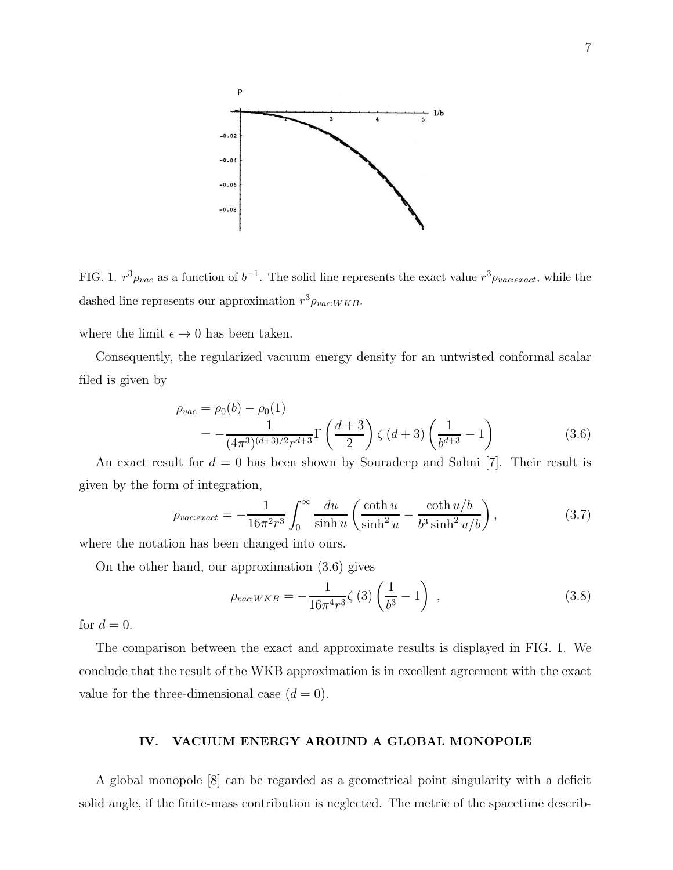

FIG. 1.  $r^3 \rho_{vac}$  as a function of  $b^{-1}$ . The solid line represents the exact value  $r^3 \rho_{vac:exact}$ , while the dashed line represents our approximation  $r^3 \rho_{vac:WKB}$ .

where the limit  $\epsilon \to 0$  has been taken.

Consequently, the regularized vacuum energy density for an untwisted conformal scalar filed is given by

$$
\rho_{vac} = \rho_0(b) - \rho_0(1) \n= -\frac{1}{(4\pi^3)^{(d+3)/2}r^{d+3}} \Gamma\left(\frac{d+3}{2}\right) \zeta(d+3) \left(\frac{1}{b^{d+3}} - 1\right)
$$
\n(3.6)

An exact result for  $d = 0$  has been shown by Souradeep and Sahni [7]. Their result is given by the form of integration,

$$
\rho_{vacexact} = -\frac{1}{16\pi^2 r^3} \int_0^\infty \frac{du}{\sinh u} \left( \frac{\coth u}{\sinh^2 u} - \frac{\coth u/b}{b^3 \sinh^2 u/b} \right),\tag{3.7}
$$

where the notation has been changed into ours.

On the other hand, our approximation (3.6) gives

$$
\rho_{vac:WKB} = -\frac{1}{16\pi^4 r^3} \zeta(3) \left(\frac{1}{b^3} - 1\right) ,\qquad (3.8)
$$

for  $d = 0$ .

The comparison between the exact and approximate results is displayed in FIG. 1. We conclude that the result of the WKB approximation is in excellent agreement with the exact value for the three-dimensional case  $(d = 0)$ .

### IV. VACUUM ENERGY AROUND A GLOBAL MONOPOLE

A global monopole [8] can be regarded as a geometrical point singularity with a deficit solid angle, if the finite-mass contribution is neglected. The metric of the spacetime describ-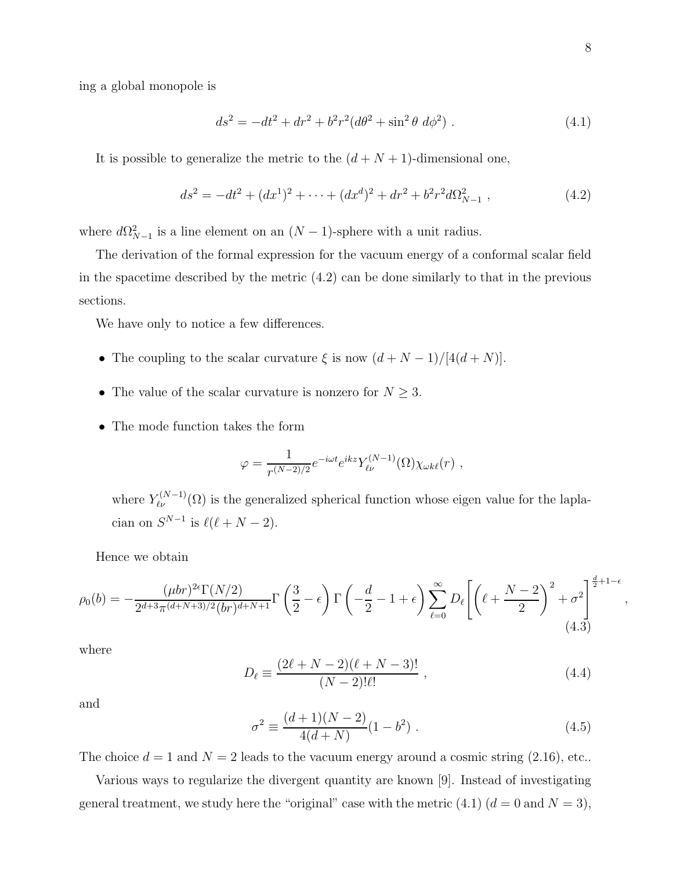,

ing a global monopole is

$$
ds^{2} = -dt^{2} + dr^{2} + b^{2}r^{2}(d\theta^{2} + \sin^{2}\theta \, d\phi^{2}).
$$
\n(4.1)

It is possible to generalize the metric to the  $(d + N + 1)$ -dimensional one,

$$
ds^{2} = -dt^{2} + (dx^{1})^{2} + \dots + (dx^{d})^{2} + dr^{2} + b^{2}r^{2}d\Omega_{N-1}^{2} , \qquad (4.2)
$$

where  $d\Omega_{N-1}^2$  is a line element on an  $(N-1)$ -sphere with a unit radius.

The derivation of the formal expression for the vacuum energy of a conformal scalar field in the spacetime described by the metric  $(4.2)$  can be done similarly to that in the previous sections.

We have only to notice a few differences.

- The coupling to the scalar curvature  $\xi$  is now  $(d + N 1)/[4(d + N)]$ .
- The value of the scalar curvature is nonzero for  $N \geq 3$ .
- The mode function takes the form

$$
\varphi = \frac{1}{r^{(N-2)/2}} e^{-i\omega t} e^{ikz} Y_{\ell\nu}^{(N-1)}(\Omega) \chi_{\omega k\ell}(r) ,
$$

where  $Y_{\ell\nu}^{(N-1)}(\Omega)$  is the generalized spherical function whose eigen value for the laplacian on  $S^{N-1}$  is  $\ell(\ell+N-2)$ .

Hence we obtain

$$
\rho_0(b) = -\frac{(\mu br)^{2\epsilon} \Gamma(N/2)}{2^{d+3} \pi^{(d+N+3)/2} (br)^{d+N+1}} \Gamma\left(\frac{3}{2} - \epsilon\right) \Gamma\left(-\frac{d}{2} - 1 + \epsilon\right) \sum_{\ell=0}^{\infty} D_{\ell} \left[ \left(\ell + \frac{N-2}{2}\right)^2 + \sigma^2 \right]^{\frac{d}{2}+1-\epsilon} (4.3)
$$

where

$$
D_{\ell} \equiv \frac{(2\ell + N - 2)(\ell + N - 3)!}{(N - 2)!\ell!} \,, \tag{4.4}
$$

and

$$
\sigma^2 \equiv \frac{(d+1)(N-2)}{4(d+N)}(1-b^2) \ . \tag{4.5}
$$

The choice  $d = 1$  and  $N = 2$  leads to the vacuum energy around a cosmic string (2.16), etc..

Various ways to regularize the divergent quantity are known [9]. Instead of investigating general treatment, we study here the "original" case with the metric (4.1)  $(d = 0 \text{ and } N = 3)$ ,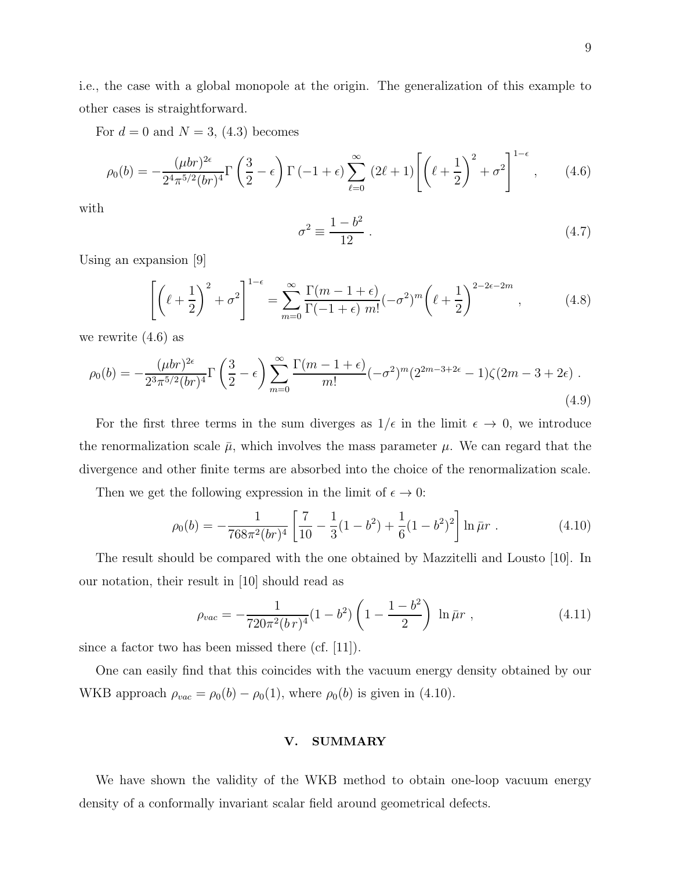i.e., the case with a global monopole at the origin. The generalization of this example to other cases is straightforward.

For  $d = 0$  and  $N = 3$ , (4.3) becomes

$$
\rho_0(b) = -\frac{(\mu br)^{2\epsilon}}{2^4 \pi^{5/2} (br)^4} \Gamma\left(\frac{3}{2} - \epsilon\right) \Gamma\left(-1 + \epsilon\right) \sum_{\ell=0}^{\infty} (2\ell+1) \left[ \left(\ell + \frac{1}{2}\right)^2 + \sigma^2 \right]^{1-\epsilon}, \quad (4.6)
$$

with

$$
\sigma^2 \equiv \frac{1 - b^2}{12} \tag{4.7}
$$

Using an expansion [9]

$$
\left[ \left( \ell + \frac{1}{2} \right)^2 + \sigma^2 \right]^{1-\epsilon} = \sum_{m=0}^{\infty} \frac{\Gamma(m-1+\epsilon)}{\Gamma(-1+\epsilon) m!} (-\sigma^2)^m \left( \ell + \frac{1}{2} \right)^{2-2\epsilon-2m}, \qquad (4.8)
$$

we rewrite  $(4.6)$  as

$$
\rho_0(b) = -\frac{(\mu br)^{2\epsilon}}{2^3 \pi^{5/2} (br)^4} \Gamma\left(\frac{3}{2} - \epsilon\right) \sum_{m=0}^{\infty} \frac{\Gamma(m-1+\epsilon)}{m!} (-\sigma^2)^m (2^{2m-3+2\epsilon} - 1) \zeta(2m-3+2\epsilon) \tag{4.9}
$$

For the first three terms in the sum diverges as  $1/\epsilon$  in the limit  $\epsilon \to 0$ , we introduce the renormalization scale  $\bar{\mu}$ , which involves the mass parameter  $\mu$ . We can regard that the divergence and other finite terms are absorbed into the choice of the renormalization scale.

Then we get the following expression in the limit of  $\epsilon \to 0$ :

$$
\rho_0(b) = -\frac{1}{768\pi^2 (br)^4} \left[ \frac{7}{10} - \frac{1}{3} (1 - b^2) + \frac{1}{6} (1 - b^2)^2 \right] \ln \bar{\mu} r \ . \tag{4.10}
$$

The result should be compared with the one obtained by Mazzitelli and Lousto [10]. In our notation, their result in [10] should read as

$$
\rho_{vac} = -\frac{1}{720\pi^2 (b\,r)^4} (1 - b^2) \left( 1 - \frac{1 - b^2}{2} \right) \ln \bar{\mu} r \;, \tag{4.11}
$$

since a factor two has been missed there (cf. [11]).

One can easily find that this coincides with the vacuum energy density obtained by our WKB approach  $\rho_{vac} = \rho_0(b) - \rho_0(1)$ , where  $\rho_0(b)$  is given in (4.10).

### V. SUMMARY

We have shown the validity of the WKB method to obtain one-loop vacuum energy density of a conformally invariant scalar field around geometrical defects.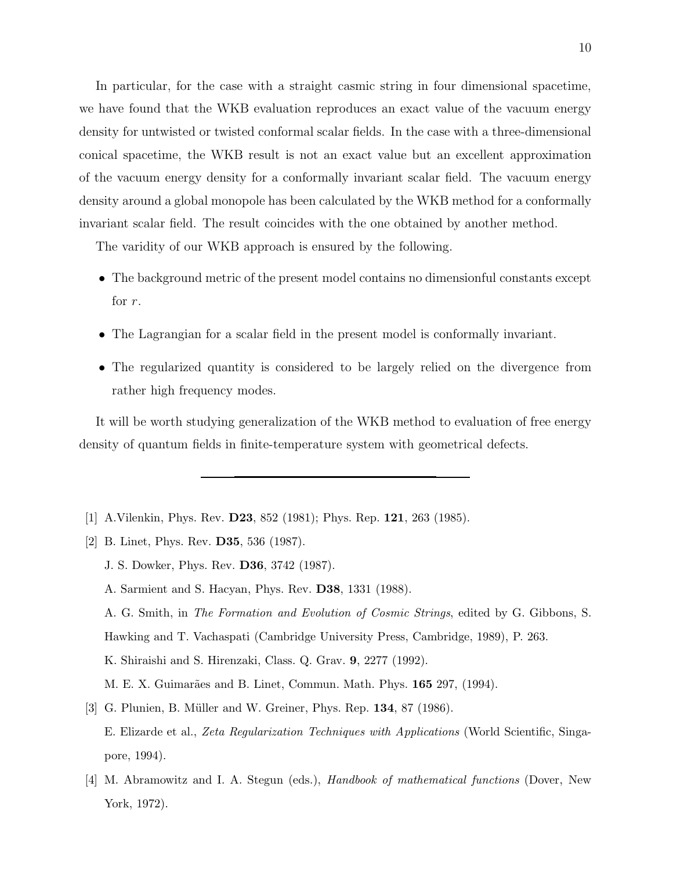In particular, for the case with a straight casmic string in four dimensional spacetime, we have found that the WKB evaluation reproduces an exact value of the vacuum energy density for untwisted or twisted conformal scalar fields. In the case with a three-dimensional conical spacetime, the WKB result is not an exact value but an excellent approximation of the vacuum energy density for a conformally invariant scalar field. The vacuum energy density around a global monopole has been calculated by the WKB method for a conformally invariant scalar field. The result coincides with the one obtained by another method.

The varidity of our WKB approach is ensured by the following.

- The background metric of the present model contains no dimensionful constants except for r.
- The Lagrangian for a scalar field in the present model is conformally invariant.
- The regularized quantity is considered to be largely relied on the divergence from rather high frequency modes.

It will be worth studying generalization of the WKB method to evaluation of free energy density of quantum fields in finite-temperature system with geometrical defects.

- [1] A.Vilenkin, Phys. Rev. D23, 852 (1981); Phys. Rep. 121, 263 (1985).
- [2] B. Linet, Phys. Rev. D35, 536 (1987). J. S. Dowker, Phys. Rev. D36, 3742 (1987). A. Sarmient and S. Hacyan, Phys. Rev. D38, 1331 (1988). A. G. Smith, in The Formation and Evolution of Cosmic Strings, edited by G. Gibbons, S. Hawking and T. Vachaspati (Cambridge University Press, Cambridge, 1989), P. 263. K. Shiraishi and S. Hirenzaki, Class. Q. Grav. 9, 2277 (1992). M. E. X. Guimarães and B. Linet, Commun. Math. Phys. 165 297, (1994). [3] G. Plunien, B. Müller and W. Greiner, Phys. Rep. 134, 87 (1986).
- E. Elizarde et al., Zeta Regularization Techniques with Applications (World Scientific, Singapore, 1994).
- [4] M. Abramowitz and I. A. Stegun (eds.), Handbook of mathematical functions (Dover, New York, 1972).